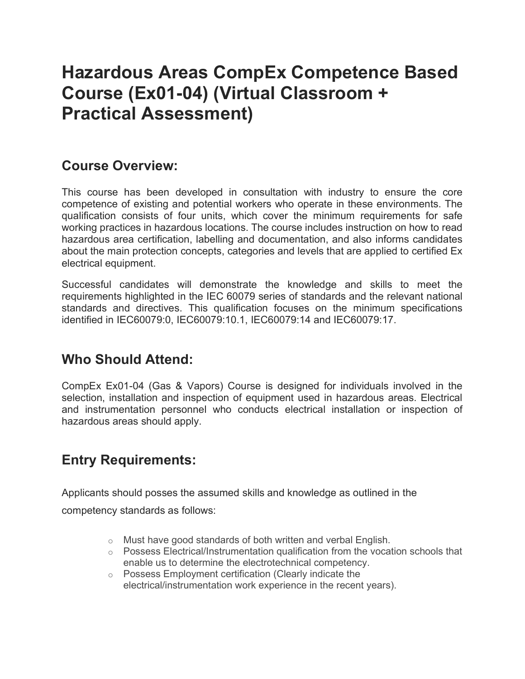## Hazardous Areas CompEx Competence Based Course (Ex01-04) (Virtual Classroom + Practical Assessment)

#### Course Overview:

This course has been developed in consultation with industry to ensure the core competence of existing and potential workers who operate in these environments. The qualification consists of four units, which cover the minimum requirements for safe working practices in hazardous locations. The course includes instruction on how to read hazardous area certification, labelling and documentation, and also informs candidates about the main protection concepts, categories and levels that are applied to certified Ex electrical equipment.

Successful candidates will demonstrate the knowledge and skills to meet the requirements highlighted in the IEC 60079 series of standards and the relevant national standards and directives. This qualification focuses on the minimum specifications identified in IEC60079:0, IEC60079:10.1, IEC60079:14 and IEC60079:17.

#### Who Should Attend:

CompEx Ex01-04 (Gas & Vapors) Course is designed for individuals involved in the selection, installation and inspection of equipment used in hazardous areas. Electrical and instrumentation personnel who conducts electrical installation or inspection of hazardous areas should apply.

## Entry Requirements:

Applicants should posses the assumed skills and knowledge as outlined in the

competency standards as follows:

- o Must have good standards of both written and verbal English.
- o Possess Electrical/Instrumentation qualification from the vocation schools that enable us to determine the electrotechnical competency.
- o Possess Employment certification (Clearly indicate the electrical/instrumentation work experience in the recent years).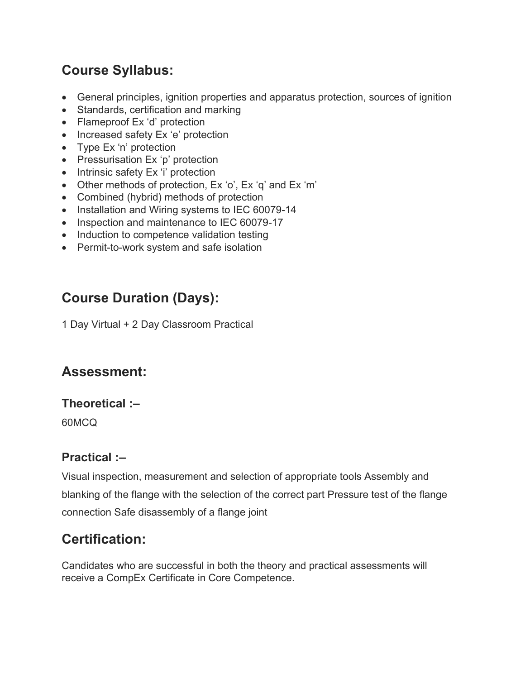## Course Syllabus:

- General principles, ignition properties and apparatus protection, sources of ignition
- Standards, certification and marking
- Flameproof Ex 'd' protection
- Increased safety Ex 'e' protection
- Type Ex 'n' protection
- Pressurisation Ex 'p' protection
- Intrinsic safety Ex 'i' protection
- Other methods of protection, Ex 'o', Ex 'q' and Ex 'm'
- Combined (hybrid) methods of protection
- Installation and Wiring systems to IEC 60079-14
- Inspection and maintenance to IEC 60079-17
- Induction to competence validation testing
- Permit-to-work system and safe isolation

## Course Duration (Days):

1 Day Virtual + 2 Day Classroom Practical

## Assessment:

#### Theoretical :–

60MCQ

#### Practical :–

Visual inspection, measurement and selection of appropriate tools Assembly and blanking of the flange with the selection of the correct part Pressure test of the flange connection Safe disassembly of a flange joint

### Certification:

Candidates who are successful in both the theory and practical assessments will receive a CompEx Certificate in Core Competence.